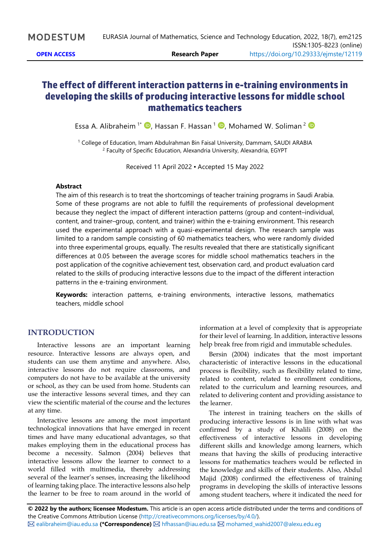# **The effect of different interaction patterns in e-training environments in developing the skills of producing interactive lessons for middle school mathematics teachers**

Essa A. Alibraheim<sup>1\*</sup> D, Hassan F. Hassan <sup>1</sup> D, Mohamed W. Soliman <sup>2</sup>

<sup>1</sup> College of Education, Imam Abdulrahman Bin Faisal University, Dammam, SAUDI ARABIA <sup>2</sup> Faculty of Specific Education, Alexandria University, Alexandria, EGYPT

Received 11 April 2022 ▪ Accepted 15 May 2022

#### **Abstract**

The aim of this research is to treat the shortcomings of teacher training programs in Saudi Arabia. Some of these programs are not able to fulfill the requirements of professional development because they neglect the impact of different interaction patterns (group and content–individual, content, and trainer–group, content, and trainer) within the e-training environment. This research used the experimental approach with a quasi-experimental design. The research sample was limited to a random sample consisting of 60 mathematics teachers, who were randomly divided into three experimental groups, equally. The results revealed that there are statistically significant differences at 0.05 between the average scores for middle school mathematics teachers in the post application of the cognitive achievement test, observation card, and product evaluation card related to the skills of producing interactive lessons due to the impact of the different interaction patterns in the e-training environment.

**Keywords:** interaction patterns, e-training environments, interactive lessons, mathematics teachers, middle school

# **INTRODUCTION**

Interactive lessons are an important learning resource. Interactive lessons are always open, and students can use them anytime and anywhere. Also, interactive lessons do not require classrooms, and computers do not have to be available at the university or school, as they can be used from home. Students can use the interactive lessons several times, and they can view the scientific material of the course and the lectures at any time.

Interactive lessons are among the most important technological innovations that have emerged in recent times and have many educational advantages, so that makes employing them in the educational process has become a necessity. Salmon (2004) believes that interactive lessons allow the learner to connect to a world filled with multimedia, thereby addressing several of the learner's senses, increasing the likelihood of learning taking place. The interactive lessons also help the learner to be free to roam around in the world of

information at a level of complexity that is appropriate for their level of learning. In addition, interactive lessons help break free from rigid and immutable schedules.

Bersin (2004) indicates that the most important characteristic of interactive lessons in the educational process is flexibility, such as flexibility related to time, related to content, related to enrollment conditions, related to the curriculum and learning resources, and related to delivering content and providing assistance to the learner.

The interest in training teachers on the skills of producing interactive lessons is in line with what was confirmed by a study of Khalili (2008) on the effectiveness of interactive lessons in developing different skills and knowledge among learners, which means that having the skills of producing interactive lessons for mathematics teachers would be reflected in the knowledge and skills of their students. Also, Abdul Majid (2008) confirmed the effectiveness of training programs in developing the skills of interactive lessons among student teachers, where it indicated the need for

**© 2022 by the authors; licensee Modestum.** This article is an open access article distributed under the terms and conditions of the Creative Commons Attribution License [\(http://creativecommons.org/licenses/by/4.0/\)](http://creativecommons.org/licenses/by/4.0/). [ealibraheim@iau.edu.sa](mailto:ealibraheim@iau.edu.sa) **(\*Correspondence)** [hfhassan@iau.edu.sa](mailto:hfhassan@iau.edu.sa) [mohamed\\_wahid2007@alexu.edu.eg](mailto:mohamed_wahid2007@alexu.edu.eg)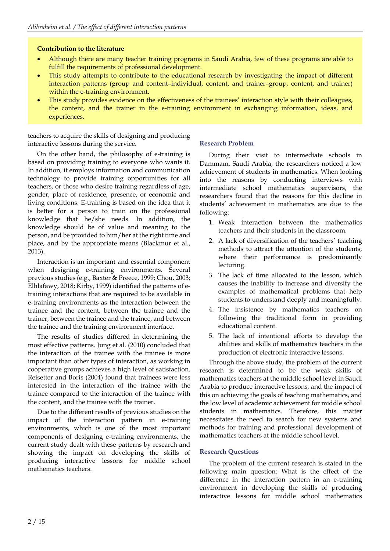## **Contribution to the literature**

- Although there are many teacher training programs in Saudi Arabia, few of these programs are able to fulfill the requirements of professional development.
- This study attempts to contribute to the educational research by investigating the impact of different interaction patterns (group and content–individual, content, and trainer–group, content, and trainer) within the e-training environment.
- This study provides evidence on the effectiveness of the trainees' interaction style with their colleagues, the content, and the trainer in the e-training environment in exchanging information, ideas, and experiences.

teachers to acquire the skills of designing and producing interactive lessons during the service.

## **Research Problem**

On the other hand, the philosophy of e-training is based on providing training to everyone who wants it. In addition, it employs information and communication technology to provide training opportunities for all teachers, or those who desire training regardless of age, gender, place of residence, presence, or economic and living conditions. E-training is based on the idea that it is better for a person to train on the professional knowledge that he/she needs. In addition, the knowledge should be of value and meaning to the person, and be provided to him/her at the right time and place, and by the appropriate means (Blackmur et al., 2013).

Interaction is an important and essential component when designing e-training environments. Several previous studies (e.g., Baxter & Preece, 1999; Chou, 2003; Elhlafawy, 2018; Kirby, 1999) identified the patterns of etraining interactions that are required to be available in e-training environments as the interaction between the trainee and the content, between the trainee and the trainer, between the trainee and the trainee, and between the trainee and the training environment interface.

The results of studies differed in determining the most effective patterns. Jung et al. (2010) concluded that the interaction of the trainee with the trainee is more important than other types of interaction, as working in cooperative groups achieves a high level of satisfaction. Reisetter and Boris (2004) found that trainees were less interested in the interaction of the trainee with the trainee compared to the interaction of the trainee with the content, and the trainee with the trainer.

Due to the different results of previous studies on the impact of the interaction pattern in e-training environments, which is one of the most important components of designing e-training environments, the current study dealt with these patterns by research and showing the impact on developing the skills of producing interactive lessons for middle school mathematics teachers.

During their visit to intermediate schools in Dammam, Saudi Arabia, the researchers noticed a low achievement of students in mathematics. When looking into the reasons by conducting interviews with intermediate school mathematics supervisors, the researchers found that the reasons for this decline in students' achievement in mathematics are due to the following:

- 1. Weak interaction between the mathematics teachers and their students in the classroom.
- 2. A lack of diversification of the teachers' teaching methods to attract the attention of the students, where their performance is predominantly lecturing.
- 3. The lack of time allocated to the lesson, which causes the inability to increase and diversify the examples of mathematical problems that help students to understand deeply and meaningfully.
- 4. The insistence by mathematics teachers on following the traditional form in providing educational content.
- 5. The lack of intentional efforts to develop the abilities and skills of mathematics teachers in the production of electronic interactive lessons.

Through the above study, the problem of the current research is determined to be the weak skills of mathematics teachers at the middle school level in Saudi Arabia to produce interactive lessons, and the impact of this on achieving the goals of teaching mathematics, and the low level of academic achievement for middle school students in mathematics. Therefore, this matter necessitates the need to search for new systems and methods for training and professional development of mathematics teachers at the middle school level.

## **Research Questions**

The problem of the current research is stated in the following main question: What is the effect of the difference in the interaction pattern in an e-training environment in developing the skills of producing interactive lessons for middle school mathematics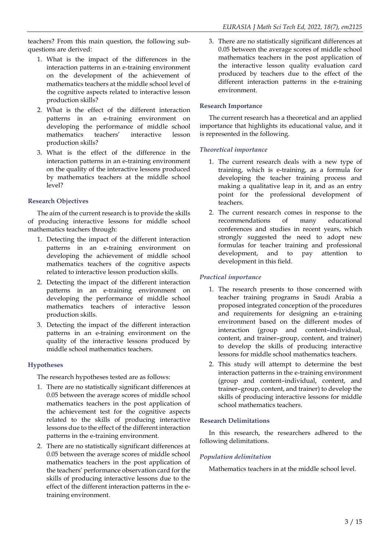teachers? From this main question, the following subquestions are derived:

- 1. What is the impact of the differences in the interaction patterns in an e-training environment on the development of the achievement of mathematics teachers at the middle school level of the cognitive aspects related to interactive lesson production skills?
- 2. What is the effect of the different interaction patterns in an e-training environment on developing the performance of middle school mathematics teachers' interactive lesson production skills?
- 3. What is the effect of the difference in the interaction patterns in an e-training environment on the quality of the interactive lessons produced by mathematics teachers at the middle school level?

# **Research Objectives**

The aim of the current research is to provide the skills of producing interactive lessons for middle school mathematics teachers through:

- 1. Detecting the impact of the different interaction patterns in an e-training environment on developing the achievement of middle school mathematics teachers of the cognitive aspects related to interactive lesson production skills.
- 2. Detecting the impact of the different interaction patterns in an e-training environment on developing the performance of middle school mathematics teachers of interactive lesson production skills.
- 3. Detecting the impact of the different interaction patterns in an e-training environment on the quality of the interactive lessons produced by middle school mathematics teachers.

## **Hypotheses**

The research hypotheses tested are as follows:

- 1. There are no statistically significant differences at 0.05 between the average scores of middle school mathematics teachers in the post application of the achievement test for the cognitive aspects related to the skills of producing interactive lessons due to the effect of the different interaction patterns in the e-training environment.
- 2. There are no statistically significant differences at 0.05 between the average scores of middle school mathematics teachers in the post application of the teachers' performance observation card for the skills of producing interactive lessons due to the effect of the different interaction patterns in the etraining environment.

3. There are no statistically significant differences at 0.05 between the average scores of middle school mathematics teachers in the post application of the interactive lesson quality evaluation card produced by teachers due to the effect of the different interaction patterns in the e-training environment.

## **Research Importance**

The current research has a theoretical and an applied importance that highlights its educational value, and it is represented in the following.

## *Theoretical importance*

- 1. The current research deals with a new type of training, which is e-training, as a formula for developing the teacher training process and making a qualitative leap in it, and as an entry point for the professional development of teachers.
- 2. The current research comes in response to the recommendations of many educational conferences and studies in recent years, which strongly suggested the need to adopt new formulas for teacher training and professional development, and to pay attention to development in this field.

## *Practical importance*

- 1. The research presents to those concerned with teacher training programs in Saudi Arabia a proposed integrated conception of the procedures and requirements for designing an e-training environment based on the different modes of interaction (group and content–individual, content, and trainer–group, content, and trainer) to develop the skills of producing interactive lessons for middle school mathematics teachers.
- 2. This study will attempt to determine the best interaction patterns in the e-training environment (group and content–individual, content, and trainer–group, content, and trainer) to develop the skills of producing interactive lessons for middle school mathematics teachers.

## **Research Delimitations**

In this research, the researchers adhered to the following delimitations.

# *Population delimitation*

Mathematics teachers in at the middle school level.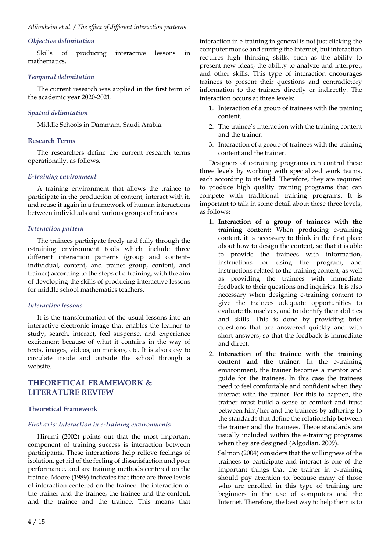#### *Objective delimitation*

Skills of producing interactive lessons in mathematics.

#### *Temporal delimitation*

The current research was applied in the first term of the academic year 2020-2021.

#### *Spatial delimitation*

Middle Schools in Dammam, Saudi Arabia.

#### **Research Terms**

The researchers define the current research terms operationally, as follows.

#### *E-training environment*

A training environment that allows the trainee to participate in the production of content, interact with it, and reuse it again in a framework of human interactions between individuals and various groups of trainees.

#### *Interaction pattern*

The trainees participate freely and fully through the e-training environment tools which include three different interaction patterns (group and content– individual, content, and trainer–group, content, and trainer) according to the steps of e-training, with the aim of developing the skills of producing interactive lessons for middle school mathematics teachers.

## *Interactive lessons*

It is the transformation of the usual lessons into an interactive electronic image that enables the learner to study, search, interact, feel suspense, and experience excitement because of what it contains in the way of texts, images, videos, animations, etc. It is also easy to circulate inside and outside the school through a website.

# **THEORETICAL FRAMEWORK & LITERATURE REVIEW**

#### **Theoretical Framework**

#### *First axis: Interaction in e-training environments*

Hirumi (2002) points out that the most important component of training success is interaction between participants. These interactions help relieve feelings of isolation, get rid of the feeling of dissatisfaction and poor performance, and are training methods centered on the trainee. Moore (1989) indicates that there are three levels of interaction centered on the trainee: the interaction of the trainer and the trainee, the trainee and the content, and the trainee and the trainee. This means that

interaction in e-training in general is not just clicking the computer mouse and surfing the Internet, but interaction requires high thinking skills, such as the ability to present new ideas, the ability to analyze and interpret, and other skills. This type of interaction encourages trainees to present their questions and contradictory information to the trainers directly or indirectly. The interaction occurs at three levels:

- 1. Interaction of a group of trainees with the training content.
- 2. The trainee's interaction with the training content and the trainer.
- 3. Interaction of a group of trainees with the training content and the trainer.

Designers of e-training programs can control these three levels by working with specialized work teams, each according to its field. Therefore, they are required to produce high quality training programs that can compete with traditional training programs. It is important to talk in some detail about these three levels, as follows:

- 1. **Interaction of a group of trainees with the training content:** When producing e-training content, it is necessary to think in the first place about how to design the content, so that it is able to provide the trainees with information, instructions for using the program, and instructions related to the training content, as well as providing the trainees with immediate feedback to their questions and inquiries. It is also necessary when designing e-training content to give the trainees adequate opportunities to evaluate themselves, and to identify their abilities and skills. This is done by providing brief questions that are answered quickly and with short answers, so that the feedback is immediate and direct.
- 2. **Interaction of the trainee with the training content and the trainer:** In the e-training environment, the trainer becomes a mentor and guide for the trainees. In this case the trainees need to feel comfortable and confident when they interact with the trainer. For this to happen, the trainer must build a sense of comfort and trust between him/her and the trainees by adhering to the standards that define the relationship between the trainer and the trainees. Theoe standards are usually included within the e-training programs when they are designed (Algodian, 2009).

Salmon (2004) considers that the willingness of the trainees to participate and interact is one of the important things that the trainer in e-training should pay attention to, because many of those who are enrolled in this type of training are beginners in the use of computers and the Internet. Therefore, the best way to help them is to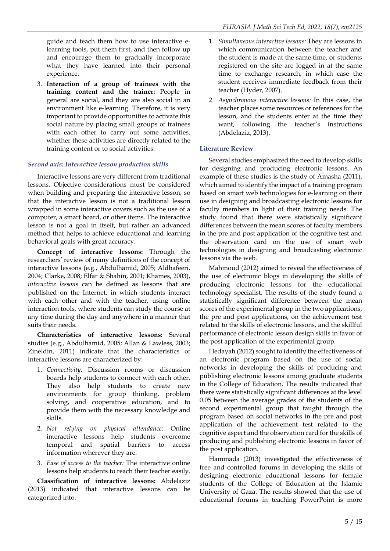guide and teach them how to use interactive elearning tools, put them first, and then follow up and encourage them to gradually incorporate what they have learned into their personal experience.

3. **Interaction of a group of trainees with the training content and the trainer:** People in general are social, and they are also social in an environment like e-learning. Therefore, it is very important to provide opportunities to activate this social nature by placing small groups of trainees with each other to carry out some activities, whether these activities are directly related to the training content or to social activities.

# *Second axis: Interactive lesson production skills*

Interactive lessons are very different from traditional lessons. Objective considerations must be considered when building and preparing the interactive lesson, so that the interactive lesson is not a traditional lesson wrapped in some interactive covers such as the use of a computer, a smart board, or other items. The interactive lesson is not a goal in itself, but rather an advanced method that helps to achieve educational and learning behavioral goals with great accuracy.

**Concept of interactive lessons:** Through the researchers' review of many definitions of the concept of interactive lessons (e.g., Abdulhamid, 2005; Aldhafeeri, 2004; Clarke, 2008; Elfar & Shahin, 2001; Khames, 2003), *interactive lessons* can be defined as lessons that are published on the Internet, in which students interact with each other and with the teacher, using online interaction tools, where students can study the course at any time during the day and anywhere in a manner that suits their needs.

**Characteristics of interactive lessons:** Several studies (e.g., Abdulhamid, 2005; Allan & Lawless, 2003; Zineldin, 2011) indicate that the characteristics of interactive lessons are characterized by:

- 1. *Connectivity:* Discussion rooms or discussion boards help students to connect with each other. They also help students to create new environments for group thinking, problem solving, and cooperative education, and to provide them with the necessary knowledge and skills.
- 2. *Not relying on physical attendance:* Online interactive lessons help students overcome temporal and spatial barriers to access information wherever they are.
- 3. *Ease of access to the teacher:* The interactive online lessons help students to reach their teacher easily.

**Classification of interactive lessons:** Abdelaziz (2013) indicated that interactive lessons can be categorized into:

- 1. *Simultaneous interactive lessons:* They are lessons in which communication between the teacher and the student is made at the same time, or students registered on the site are logged in at the same time to exchange research, in which case the student receives immediate feedback from their teacher (Hyder, 2007).
- 2. *Asynchronous interactive lessons:* In this case, the teacher places some resources or references for the lesson, and the students enter at the time they want, following the teacher's instructions (Abdelaziz, 2013).

# **Literature Review**

Several studies emphasized the need to develop skills for designing and producing electronic lessons. An example of these studies is the study of Amasha (2011), which aimed to identify the impact of a training program based on smart web technologies for e-learning on their use in designing and broadcasting electronic lessons for faculty members in light of their training needs. The study found that there were statistically significant differences between the mean scores of faculty members in the pre and post application of the cognitive test and the observation card on the use of smart web technologies in designing and broadcasting electronic lessons via the web.

Mahmoud (2012) aimed to reveal the effectiveness of the use of electronic blogs in developing the skills of producing electronic lessons for the educational technology specialist. The results of the study found a statistically significant difference between the mean scores of the experimental group in the two applications, the pre and post applications, on the achievement test related to the skills of electronic lessons, and the skillful performance of electronic lesson design skills in favor of the post application of the experimental group.

Hedayah (2012) sought to identify the effectiveness of an electronic program based on the use of social networks in developing the skills of producing and publishing electronic lessons among graduate students in the College of Education. The results indicated that there were statistically significant differences at the level 0.05 between the average grades of the students of the second experimental group that taught through the program based on social networks in the pre and post application of the achievement test related to the cognitive aspect and the observation card for the skills of producing and publishing electronic lessons in favor of the post application.

Hammada (2013) investigated the effectiveness of free and controlled forums in developing the skills of designing electronic educational lessons for female students of the College of Education at the Islamic University of Gaza. The results showed that the use of educational forums in teaching PowerPoint is more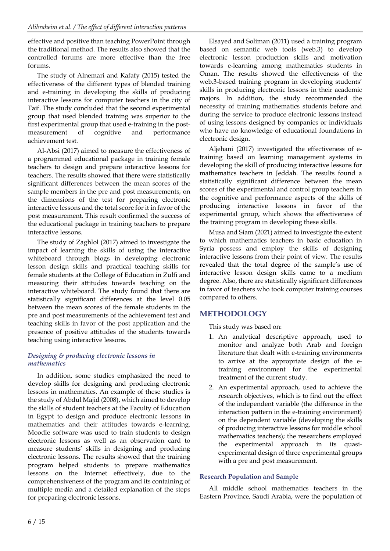effective and positive than teaching PowerPoint through the traditional method. The results also showed that the controlled forums are more effective than the free forums.

The study of Alnemari and Kafafy (2015) tested the effectiveness of the different types of blended training and e-training in developing the skills of producing interactive lessons for computer teachers in the city of Taif. The study concluded that the second experimental group that used blended training was superior to the first experimental group that used e-training in the postmeasurement of cognitive and performance achievement test.

Al-Absi (2017) aimed to measure the effectiveness of a programmed educational package in training female teachers to design and prepare interactive lessons for teachers. The results showed that there were statistically significant differences between the mean scores of the sample members in the pre and post measurements, on the dimensions of the test for preparing electronic interactive lessons and the total score for it in favor of the post measurement. This result confirmed the success of the educational package in training teachers to prepare interactive lessons.

The study of Zaghlol (2017) aimed to investigate the impact of learning the skills of using the interactive whiteboard through blogs in developing electronic lesson design skills and practical teaching skills for female students at the College of Education in Zulfi and measuring their attitudes towards teaching on the interactive whiteboard. The study found that there are statistically significant differences at the level 0.05 between the mean scores of the female students in the pre and post measurements of the achievement test and teaching skills in favor of the post application and the presence of positive attitudes of the students towards teaching using interactive lessons.

# *Designing & producing electronic lessons in mathematics*

In addition, some studies emphasized the need to develop skills for designing and producing electronic lessons in mathematics. An example of these studies is the study of Abdul Majid (2008), which aimed to develop the skills of student teachers at the Faculty of Education in Egypt to design and produce electronic lessons in mathematics and their attitudes towards e-learning. Moodle software was used to train students to design electronic lessons as well as an observation card to measure students' skills in designing and producing electronic lessons. The results showed that the training program helped students to prepare mathematics lessons on the Internet effectively, due to the comprehensiveness of the program and its containing of multiple media and a detailed explanation of the steps for preparing electronic lessons.

Elsayed and Soliman (2011) used a training program based on semantic web tools (web.3) to develop electronic lesson production skills and motivation towards e-learning among mathematics students in Oman. The results showed the effectiveness of the web.3-based training program in developing students' skills in producing electronic lessons in their academic majors. In addition, the study recommended the necessity of training mathematics students before and during the service to produce electronic lessons instead of using lessons designed by companies or individuals who have no knowledge of educational foundations in electronic design.

Aljehani (2017) investigated the effectiveness of etraining based on learning management systems in developing the skill of producing interactive lessons for mathematics teachers in Jeddah. The results found a statistically significant difference between the mean scores of the experimental and control group teachers in the cognitive and performance aspects of the skills of producing interactive lessons in favor of the experimental group, which shows the effectiveness of the training program in developing these skills.

Musa and Siam (2021) aimed to investigate the extent to which mathematics teachers in basic education in Syria possess and employ the skills of designing interactive lessons from their point of view. The results revealed that the total degree of the sample's use of interactive lesson design skills came to a medium degree. Also, there are statistically significant differences in favor of teachers who took computer training courses compared to others.

# **METHODOLOGY**

This study was based on:

- 1. An analytical descriptive approach, used to monitor and analyze both Arab and foreign literature that dealt with e-training environments to arrive at the appropriate design of the etraining environment for the experimental treatment of the current study.
- 2. An experimental approach, used to achieve the research objectives, which is to find out the effect of the independent variable (the difference in the interaction pattern in the e-training environment) on the dependent variable (developing the skills of producing interactive lessons for middle school mathematics teachers); the researchers employed the experimental approach in its quasiexperimental design of three experimental groups with a pre and post measurement.

# **Research Population and Sample**

All middle school mathematics teachers in the Eastern Province, Saudi Arabia, were the population of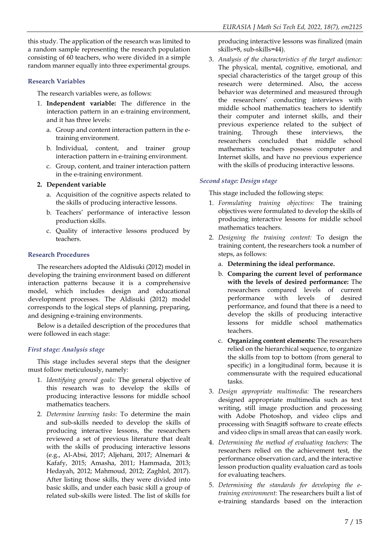this study. The application of the research was limited to a random sample representing the research population consisting of 60 teachers, who were divided in a simple random manner equally into three experimental groups.

## **Research Variables**

The research variables were, as follows:

- 1. **Independent variable:** The difference in the interaction pattern in an e-training environment, and it has three levels:
	- a. Group and content interaction pattern in the etraining environment.
	- b. Individual, content, and trainer group interaction pattern in e-training environment.
	- c. Group, content, and trainer interaction pattern in the e-training environment.

# **2. Dependent variable**

- a. Acquisition of the cognitive aspects related to the skills of producing interactive lessons.
- b. Teachers' performance of interactive lesson production skills.
- c. Quality of interactive lessons produced by teachers.

# **Research Procedures**

The researchers adopted the Aldisuki (2012) model in developing the training environment based on different interaction patterns because it is a comprehensive model, which includes design and educational development processes. The Aldisuki (2012) model corresponds to the logical steps of planning, preparing, and designing e-training environments.

Below is a detailed description of the procedures that were followed in each stage:

# *First stage: Analysis stage*

This stage includes several steps that the designer must follow meticulously, namely:

- 1. *Identifying general goals:* The general objective of this research was to develop the skills of producing interactive lessons for middle school mathematics teachers.
- 2. *Determine learning tasks:* To determine the main and sub-skills needed to develop the skills of producing interactive lessons, the researchers reviewed a set of previous literature that dealt with the skills of producing interactive lessons (e.g., Al-Absi, 2017; Aljehani, 2017; Alnemari & Kafafy, 2015; Amasha, 2011; Hammada, 2013; Hedayah, 2012; Mahmoud, 2012; Zaghlol, 2017). After listing those skills, they were divided into basic skills, and under each basic skill a group of related sub-skills were listed. The list of skills for

producing interactive lessons was finalized (main skills=8, sub-skills=44).

3. *Analysis of the characteristics of the target audience:* The physical, mental, cognitive, emotional, and special characteristics of the target group of this research were determined. Also, the access behavior was determined and measured through the researchers' conducting interviews with middle school mathematics teachers to identify their computer and internet skills, and their previous experience related to the subject of training. Through these interviews, the researchers concluded that middle school mathematics teachers possess computer and Internet skills, and have no previous experience with the skills of producing interactive lessons.

# *Second stage: Design stage*

This stage included the following steps:

- 1. *Formulating training objectives:* The training objectives were formulated to develop the skills of producing interactive lessons for middle school mathematics teachers.
- 2. *Designing the training content:* To design the training content, the researchers took a number of steps, as follows:
	- a. **Determining the ideal performance.**
	- b. **Comparing the current level of performance with the levels of desired performance:** The researchers compared levels of current performance with levels of desired performance, and found that there is a need to develop the skills of producing interactive lessons for middle school mathematics teachers.
	- c. **Organizing content elements:** The researchers relied on the hierarchical sequence, to organize the skills from top to bottom (from general to specific) in a longitudinal form, because it is commensurate with the required educational tasks.
- 3. *Design appropriate multimedia:* The researchers designed appropriate multimedia such as text writing, still image production and processing with Adobe Photoshop, and video clips and processing with Snagit8 software to create effects and video clips in small areas that can easily work.
- 4. *Determining the method of evaluating teachers:* The researchers relied on the achievement test, the performance observation card, and the interactive lesson production quality evaluation card as tools for evaluating teachers.
- 5. *Determining the standards for developing the etraining environment:* The researchers built a list of e-training standards based on the interaction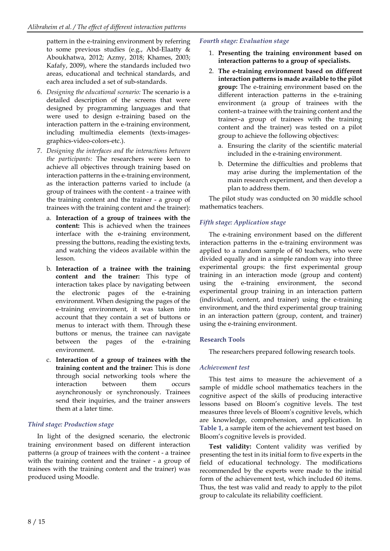pattern in the e-training environment by referring to some previous studies (e.g., Abd-Elaatty & Aboukhatwa, 2012; Azmy, 2018; Khames, 2003; Kafafy, 2009), where the standards included two areas, educational and technical standards, and each area included a set of sub-standards.

- 6. *Designing the educational scenario:* The scenario is a detailed description of the screens that were designed by programming languages and that were used to design e-training based on the interaction pattern in the e-training environment, including multimedia elements (texts-imagesgraphics-video-colors-etc.).
- 7. *Designing the interfaces and the interactions between the participants:* The researchers were keen to achieve all objectives through training based on interaction patterns in the e-training environment, as the interaction patterns varied to include (a group of trainees with the content - a trainee with the training content and the trainer - a group of trainees with the training content and the trainer):
	- a. **Interaction of a group of trainees with the content:** This is achieved when the trainees interface with the e-training environment, pressing the buttons, reading the existing texts, and watching the videos available within the lesson.
	- b. **Interaction of a trainee with the training content and the trainer:** This type of interaction takes place by navigating between the electronic pages of the e-training environment. When designing the pages of the e-training environment, it was taken into account that they contain a set of buttons or menus to interact with them. Through these buttons or menus, the trainee can navigate between the pages of the e-training environment.
	- c. **Interaction of a group of trainees with the training content and the trainer:** This is done through social networking tools where the interaction between them occurs asynchronously or synchronously. Trainees send their inquiries, and the trainer answers them at a later time.

# *Third stage: Production stage*

In light of the designed scenario, the electronic training environment based on different interaction patterns (a group of trainees with the content - a trainee with the training content and the trainer - a group of trainees with the training content and the trainer) was produced using Moodle.

# *Fourth stage: Evaluation stage*

- 1. **Presenting the training environment based on interaction patterns to a group of specialists.**
- 2. **The e-training environment based on different interaction patterns is made available to the pilot group:** The e-training environment based on the different interaction patterns in the e-training environment (a group of trainees with the content–a trainee with the training content and the trainer–a group of trainees with the training content and the trainer) was tested on a pilot group to achieve the following objectives:
	- a. Ensuring the clarity of the scientific material included in the e-training environment.
	- b. Determine the difficulties and problems that may arise during the implementation of the main research experiment, and then develop a plan to address them.

The pilot study was conducted on 30 middle school mathematics teachers.

# *Fifth stage: Application stage*

The e-training environment based on the different interaction patterns in the e-training environment was applied to a random sample of 60 teachers, who were divided equally and in a simple random way into three experimental groups: the first experimental group training in an interaction mode (group and content) using the e-training environment, the second experimental group training in an interaction pattern (individual, content, and trainer) using the e-training environment, and the third experimental group training in an interaction pattern (group, content, and trainer) using the e-training environment.

# **Research Tools**

The researchers prepared following research tools.

# *Achievement test*

This test aims to measure the achievement of a sample of middle school mathematics teachers in the cognitive aspect of the skills of producing interactive lessons based on Bloom's cognitive levels. The test measures three levels of Bloom's cognitive levels, which are knowledge, comprehension, and application. In **Table 1**, a sample item of the achievement test based on Bloom's cognitive levels is provided.

**Test validity:** Content validity was verified by presenting the test in its initial form to five experts in the field of educational technology. The modifications recommended by the experts were made to the initial form of the achievement test, which included 60 items. Thus, the test was valid and ready to apply to the pilot group to calculate its reliability coefficient.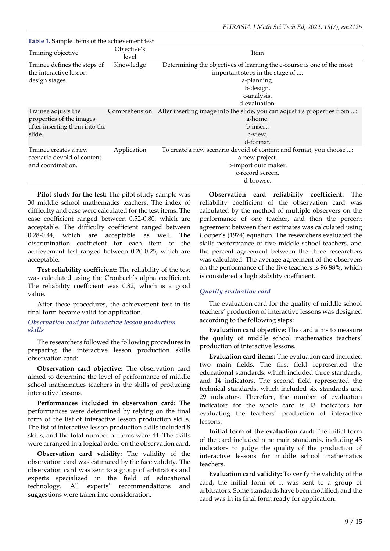| <b>Tuble 1: Sumple Rents of the active venterit test</b>                                   |                      |                                                                                                                                                                         |
|--------------------------------------------------------------------------------------------|----------------------|-------------------------------------------------------------------------------------------------------------------------------------------------------------------------|
| Training objective                                                                         | Objective's<br>level | Item                                                                                                                                                                    |
| Trainee defines the steps of<br>the interactive lesson<br>design stages.                   | Knowledge            | Determining the objectives of learning the e-course is one of the most<br>important steps in the stage of :<br>a-planning.<br>b-design.<br>c-analysis.<br>d-evaluation. |
| Trainee adjusts the<br>properties of the images<br>after inserting them into the<br>slide. | Comprehension        | After inserting image into the slide, you can adjust its properties from :<br>a-home.<br>b-insert.<br>c-view.<br>d-format.                                              |
| Trainee creates a new<br>scenario devoid of content<br>and coordination.                   | Application          | To create a new scenario devoid of content and format, you choose :<br>a-new project.<br>b-import quiz maker.<br>c-record screen.<br>d-browse.                          |

**Table 1.** Sample Items of the achievement test

**Pilot study for the test:** The pilot study sample was 30 middle school mathematics teachers. The index of difficulty and ease were calculated for the test items. The ease coefficient ranged between 0.52-0.80, which are acceptable. The difficulty coefficient ranged between 0.28-0.44, which are acceptable as well. The discrimination coefficient for each item of the achievement test ranged between 0.20-0.25, which are acceptable.

**Test reliability coefficient:** The reliability of the test was calculated using the Cronbach's alpha coefficient. The reliability coefficient was 0.82, which is a good value.

After these procedures, the achievement test in its final form became valid for application.

#### *Observation card for interactive lesson production skills*

The researchers followed the following procedures in preparing the interactive lesson production skills observation card:

**Observation card objective:** The observation card aimed to determine the level of performance of middle school mathematics teachers in the skills of producing interactive lessons.

**Performances included in observation card:** The performances were determined by relying on the final form of the list of interactive lesson production skills. The list of interactive lesson production skills included 8 skills, and the total number of items were 44. The skills were arranged in a logical order on the observation card.

**Observation card validity:** The validity of the observation card was estimated by the face validity. The observation card was sent to a group of arbitrators and experts specialized in the field of educational technology. All experts' recommendations and suggestions were taken into consideration.

**Observation card reliability coefficient:** The reliability coefficient of the observation card was calculated by the method of multiple observers on the performance of one teacher, and then the percent agreement between their estimates was calculated using Cooper's (1974) equation. The researchers evaluated the skills performance of five middle school teachers, and the percent agreement between the three researchers was calculated. The average agreement of the observers on the performance of the five teachers is 96.88%, which is considered a high stability coefficient.

## *Quality evaluation card*

The evaluation card for the quality of middle school teachers' production of interactive lessons was designed according to the following steps:

**Evaluation card objective:** The card aims to measure the quality of middle school mathematics teachers' production of interactive lessons.

**Evaluation card items:** The evaluation card included two main fields. The first field represented the educational standards, which included three standards, and 14 indicators. The second field represented the technical standards, which included six standards and 29 indicators. Therefore, the number of evaluation indicators for the whole card is 43 indicators for evaluating the teachers' production of interactive lessons.

**Initial form of the evaluation card:** The initial form of the card included nine main standards, including 43 indicators to judge the quality of the production of interactive lessons for middle school mathematics teachers.

**Evaluation card validity:** To verify the validity of the card, the initial form of it was sent to a group of arbitrators. Some standards have been modified, and the card was in its final form ready for application.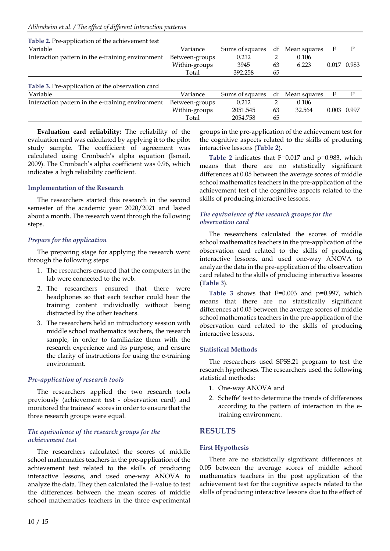| Table 2. Pre-application of the achievement test        |                |                 |    |              |       |       |
|---------------------------------------------------------|----------------|-----------------|----|--------------|-------|-------|
| Variable                                                | Variance       | Sums of squares | df | Mean squares | F     | P     |
| Interaction pattern in the e-training environment       | Between-groups | 0.212           | 2  | 0.106        |       |       |
|                                                         | Within-groups  | 3945            | 63 | 6.223        | 0.017 | 0.983 |
|                                                         | Total          | 392.258         | 65 |              |       |       |
| <b>Table 3.</b> Pre-application of the observation card |                |                 |    |              |       |       |
| Variable                                                | Variance       | Sums of squares | df | Mean squares | F     | P     |
| Interaction pattern in the e-training environment       | Between-groups | 0.212           | 2  | 0.106        |       |       |
|                                                         | Within-groups  | 2051.545        | 63 | 32.564       | 0.003 | 0.997 |
|                                                         | Total          | 2054.758        | 65 |              |       |       |
|                                                         |                |                 |    |              |       |       |

**Evaluation card reliability:** The reliability of the evaluation card was calculated by applying it to the pilot study sample. The coefficient of agreement was calculated using Cronbach's alpha equation (Ismail, 2009). The Cronbach's alpha coefficient was 0.96, which indicates a high reliability coefficient.

#### **Implementation of the Research**

The researchers started this research in the second semester of the academic year 2020/2021 and lasted about a month. The research went through the following steps.

## *Prepare for the application*

The preparing stage for applying the research went through the following steps:

- 1. The researchers ensured that the computers in the lab were connected to the web.
- 2. The researchers ensured that there were headphones so that each teacher could hear the training content individually without being distracted by the other teachers.
- 3. The researchers held an introductory session with middle school mathematics teachers, the research sample, in order to familiarize them with the research experience and its purpose, and ensure the clarity of instructions for using the e-training environment.

## *Pre-application of research tools*

The researchers applied the two research tools previously (achievement test - observation card) and monitored the trainees' scores in order to ensure that the three research groups were equal.

## *The equivalence of the research groups for the achievement test*

The researchers calculated the scores of middle school mathematics teachers in the pre-application of the achievement test related to the skills of producing interactive lessons, and used one-way ANOVA to analyze the data. They then calculated the F-value to test the differences between the mean scores of middle school mathematics teachers in the three experimental

groups in the pre-application of the achievement test for the cognitive aspects related to the skills of producing interactive lessons (**Table 2**).

**Table 2** indicates that F=0.017 and p=0.983, which means that there are no statistically significant differences at 0.05 between the average scores of middle school mathematics teachers in the pre-application of the achievement test of the cognitive aspects related to the skills of producing interactive lessons.

#### *The equivalence of the research groups for the observation card*

The researchers calculated the scores of middle school mathematics teachers in the pre-application of the observation card related to the skills of producing interactive lessons, and used one-way ANOVA to analyze the data in the pre-application of the observation card related to the skills of producing interactive lessons (**Table 3**).

**Table 3** shows that F=0.003 and p=0.997, which means that there are no statistically significant differences at 0.05 between the average scores of middle school mathematics teachers in the pre-application of the observation card related to the skills of producing interactive lessons.

## **Statistical Methods**

The researchers used SPSS.21 program to test the research hypotheses. The researchers used the following statistical methods:

- 1. One-way ANOVA and
- 2. Scheffe' test to determine the trends of differences according to the pattern of interaction in the etraining environment.

# **RESULTS**

## **First Hypothesis**

There are no statistically significant differences at 0.05 between the average scores of middle school mathematics teachers in the post application of the achievement test for the cognitive aspects related to the skills of producing interactive lessons due to the effect of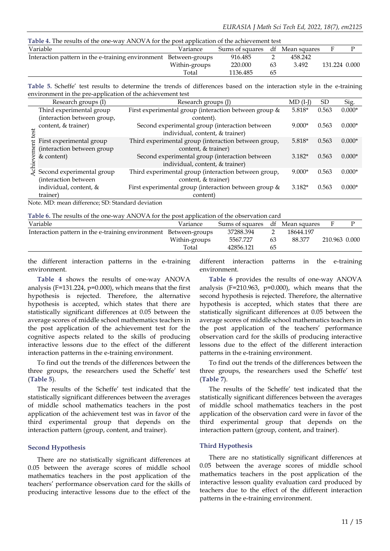| Table 4. The results of the one-way ANOVA for the post application of the achievement test |               |                                 |    |         |               |  |  |  |  |
|--------------------------------------------------------------------------------------------|---------------|---------------------------------|----|---------|---------------|--|--|--|--|
| Variable                                                                                   | Variance      | Sums of squares df Mean squares |    |         | $\mathbf{H}$  |  |  |  |  |
| Interaction pattern in the e-training environment Between-groups                           |               | 916.485                         |    | 458.242 |               |  |  |  |  |
|                                                                                            | Within-groups | 220.000                         | 63 | 3.492   | 131.224 0.000 |  |  |  |  |
|                                                                                            | Total         | 1136.485                        | 65 |         |               |  |  |  |  |

**Table 5.** Scheffe' test results to determine the trends of differences based on the interaction style in the e-training environment in the pre-application of the achievement test

|                                                  | Research groups (I)         | Research groups (J)                                   | $MD$ (I-J) | <b>SD</b> | Sig.     |  |  |
|--------------------------------------------------|-----------------------------|-------------------------------------------------------|------------|-----------|----------|--|--|
|                                                  | Third experimental group    | First experimental group (interaction between group & | $5.818*$   | 0.563     | $0.000*$ |  |  |
|                                                  | (interaction between group, | content).                                             |            |           |          |  |  |
|                                                  | content, & trainer)         | Second experimental group (interaction between        | $9.000*$   | 0.563     | $0.000*$ |  |  |
| ă                                                |                             | individual, content, & trainer)                       |            |           |          |  |  |
|                                                  | First experimental group    | Third experimental group (interaction between group,  | $5.818*$   | 0.563     | $0.000*$ |  |  |
|                                                  | (interaction between group  | content, & trainer)                                   |            |           |          |  |  |
|                                                  | & content)                  | Second experimental group (interaction between        | $3.182*$   | 0.563     | $0.000*$ |  |  |
|                                                  |                             | individual, content, & trainer)                       |            |           |          |  |  |
|                                                  | Second experimental group   | Third experimental group (interaction between group,  | $9.000*$   | 0.563     | $0.000*$ |  |  |
|                                                  | (interaction between        | content, & trainer)                                   |            |           |          |  |  |
|                                                  | individual, content, &      | First experimental group (interaction between group & | $3.182*$   | 0.563     | $0.000*$ |  |  |
|                                                  | trainer)                    | content)                                              |            |           |          |  |  |
| Note MD; mean difference: CD; Chandard deviation |                             |                                                       |            |           |          |  |  |

Note. MD: mean difference; SD: Standard deviation

**Table 6.** The results of the one-way ANOVA for the post application of the observation card

| Variable                                                         | Variance      | Sums of squares |    | df Mean squares | H             |  |
|------------------------------------------------------------------|---------------|-----------------|----|-----------------|---------------|--|
| Interaction pattern in the e-training environment Between-groups |               | 37288.394       |    | 18644.197       |               |  |
|                                                                  | Within-groups | 5567.727        | 63 | 88.377          | 210.963 0.000 |  |
|                                                                  | Total         | 42856.121       | 65 |                 |               |  |
|                                                                  |               |                 |    |                 |               |  |

the different interaction patterns in the e-training environment.

**Table 4** shows the results of one-way ANOVA analysis (F=131.224, p=0.000), which means that the first hypothesis is rejected. Therefore, the alternative hypothesis is accepted, which states that there are statistically significant differences at 0.05 between the average scores of middle school mathematics teachers in the post application of the achievement test for the cognitive aspects related to the skills of producing interactive lessons due to the effect of the different interaction patterns in the e-training environment.

To find out the trends of the differences between the three groups, the researchers used the Scheffe' test (**Table 5**).

The results of the Scheffe' test indicated that the statistically significant differences between the averages of middle school mathematics teachers in the post application of the achievement test was in favor of the third experimental group that depends on the interaction pattern (group, content, and trainer).

#### **Second Hypothesis**

There are no statistically significant differences at 0.05 between the average scores of middle school mathematics teachers in the post application of the teachers' performance observation card for the skills of producing interactive lessons due to the effect of the different interaction patterns in the e-training environment.

**Table 6** provides the results of one-way ANOVA analysis (F=210.963, p=0.000), which means that the second hypothesis is rejected. Therefore, the alternative hypothesis is accepted, which states that there are statistically significant differences at 0.05 between the average scores of middle school mathematics teachers in the post application of the teachers' performance observation card for the skills of producing interactive lessons due to the effect of the different interaction patterns in the e-training environment.

To find out the trends of the differences between the three groups, the researchers used the Scheffe' test (**Table 7**).

The results of the Scheffe' test indicated that the statistically significant differences between the averages of middle school mathematics teachers in the post application of the observation card were in favor of the third experimental group that depends on the interaction pattern (group, content, and trainer).

#### **Third Hypothesis**

There are no statistically significant differences at 0.05 between the average scores of middle school mathematics teachers in the post application of the interactive lesson quality evaluation card produced by teachers due to the effect of the different interaction patterns in the e-training environment.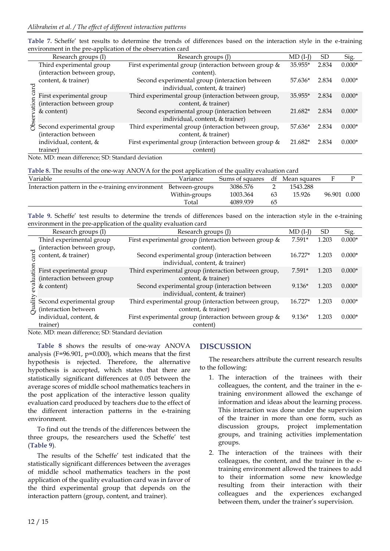|         | Research groups (I)                                    | Research groups (J)                                                               | $MD$ (I-J) | <b>SD</b> | Sig.     |
|---------|--------------------------------------------------------|-----------------------------------------------------------------------------------|------------|-----------|----------|
|         | Third experimental group                               | First experimental group (interaction between group &                             | 35.955*    | 2.834     | $0.000*$ |
|         | (interaction between group,                            | content).                                                                         |            |           |          |
| ヮ<br>ಗೆ | content, & trainer)                                    | Second experimental group (interaction between<br>individual, content, & trainer) | 57.636*    | 2.834     | $0.000*$ |
|         | First experimental group<br>(interaction between group | Third experimental group (interaction between group,<br>content, & trainer)       | 35.955*    | 2.834     | $0.000*$ |
|         | & content)                                             | Second experimental group (interaction between<br>individual, content, & trainer) | 21.682*    | 2.834     | $0.000*$ |
|         | Second experimental group<br>(interaction between      | Third experimental group (interaction between group,<br>content, & trainer)       | 57.636*    | 2.834     | $0.000*$ |
|         | individual, content, &                                 | First experimental group (interaction between group &                             | $21.682*$  | 2.834     | $0.000*$ |
|         | trainer)<br>$\cdots$                                   | content)<br>$\sim$ $\sim$ $\sim$ $\sim$ $\sim$ $\sim$                             |            |           |          |

| Table 7. Scheffe' test results to determine the trends of differences based on the interaction style in the e-training |  |  |  |  |  |  |  |  |
|------------------------------------------------------------------------------------------------------------------------|--|--|--|--|--|--|--|--|
| environment in the pre-application of the observation card                                                             |  |  |  |  |  |  |  |  |

Note. MD: mean difference; SD: Standard deviation

| Table 8. The results of the one-way ANOVA for the post application of the quality evaluation card |  |  |  |
|---------------------------------------------------------------------------------------------------|--|--|--|
|---------------------------------------------------------------------------------------------------|--|--|--|

| Variable                                                         | Variance      | Sums of squares |    | df Mean squares | F            |  |
|------------------------------------------------------------------|---------------|-----------------|----|-----------------|--------------|--|
| Interaction pattern in the e-training environment Between-groups |               | 3086.576        |    | 1543.288        |              |  |
|                                                                  | Within-groups | 1003.364        | 63 | 15.926          | 96.901 0.000 |  |
|                                                                  | Total         | 4089.939        | ხ5 |                 |              |  |

**Table 9.** Scheffe' test results to determine the trends of differences based on the interaction style in the e-training environment in the pre-application of the quality evaluation card

|      | Research groups (I)         | Research groups (J)                                   | $MD (I-I)$ | <sub>SD</sub> | Sig.     |
|------|-----------------------------|-------------------------------------------------------|------------|---------------|----------|
|      | Third experimental group    | First experimental group (interaction between group & | $7.591*$   | 1.203         | $0.000*$ |
|      | (interaction between group, | content).                                             |            |               |          |
|      | content, & trainer)         | Second experimental group (interaction between        | $16.727*$  | 1.203         | $0.000*$ |
|      |                             | individual, content, & trainer)                       |            |               |          |
| е    | First experimental group    | Third experimental group (interaction between group,  | $7.591*$   | 1.203         | $0.000*$ |
|      | (interaction between group  | content, & trainer)                                   |            |               |          |
|      | & content)                  | Second experimental group (interaction between        | $9.136*$   | 1.203         | $0.000*$ |
|      |                             | individual, content, & trainer)                       |            |               |          |
| ਸ਼ਿੰ | Second experimental group   | Third experimental group (interaction between group,  | $16.727*$  | 1.203         | $0.000*$ |
|      | (interaction between        | content, & trainer)                                   |            |               |          |
|      | individual, content, &      | First experimental group (interaction between group & | $9.136*$   | 1.203         | $0.000*$ |
|      | trainer)<br>.               | content)                                              |            |               |          |

Note. MD: mean difference; SD: Standard deviation

**Table 8** shows the results of one-way ANOVA analysis (F=96.901, p=0.000), which means that the first hypothesis is rejected. Therefore, the alternative hypothesis is accepted, which states that there are statistically significant differences at 0.05 between the average scores of middle school mathematics teachers in the post application of the interactive lesson quality evaluation card produced by teachers due to the effect of the different interaction patterns in the e-training environment.

To find out the trends of the differences between the three groups, the researchers used the Scheffe' test (**Table 9**).

The results of the Scheffe' test indicated that the statistically significant differences between the averages of middle school mathematics teachers in the post application of the quality evaluation card was in favor of the third experimental group that depends on the interaction pattern (group, content, and trainer).

# **DISCUSSION**

The researchers attribute the current research results to the following:

- 1. The interaction of the trainees with their colleagues, the content, and the trainer in the etraining environment allowed the exchange of information and ideas about the learning process. This interaction was done under the supervision of the trainer in more than one form, such as discussion groups, project implementation groups, and training activities implementation groups.
- 2. The interaction of the trainees with their colleagues, the content, and the trainer in the etraining environment allowed the trainees to add to their information some new knowledge resulting from their interaction with their colleagues and the experiences exchanged between them, under the trainer's supervision.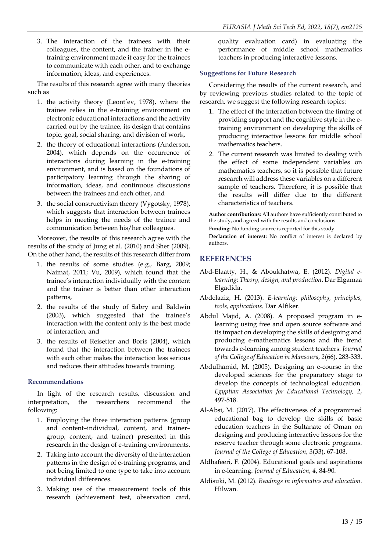3. The interaction of the trainees with their colleagues, the content, and the trainer in the etraining environment made it easy for the trainees to communicate with each other, and to exchange information, ideas, and experiences.

The results of this research agree with many theories such as

- 1. the activity theory (Leont'ev, 1978), where the trainee relies in the e-training environment on electronic educational interactions and the activity carried out by the trainee, its design that contains topic, goal, social sharing, and division of work,
- 2. the theory of educational interactions (Anderson, 2004), which depends on the occurrence of interactions during learning in the e-training environment, and is based on the foundations of participatory learning through the sharing of information, ideas, and continuous discussions between the trainees and each other, and
- 3. the social constructivism theory (Vygotsky, 1978), which suggests that interaction between trainees helps in meeting the needs of the trainee and communication between his/her colleagues.

Moreover, the results of this research agree with the results of the study of Jung et al. (2010) and Sher (2009). On the other hand, the results of this research differ from

- 1. the results of some studies (e.g., Barg, 2009; Naimat, 2011; Vu, 2009), which found that the trainee's interaction individually with the content and the trainer is better than other interaction patterns,
- 2. the results of the study of Sabry and Baldwin (2003), which suggested that the trainee's interaction with the content only is the best mode of interaction, and
- 3. the results of Reisetter and Boris (2004), which found that the interaction between the trainees with each other makes the interaction less serious and reduces their attitudes towards training.

# **Recommendations**

In light of the research results, discussion and interpretation, the researchers recommend the following:

- 1. Employing the three interaction patterns (group and content–individual, content, and trainer– group, content, and trainer) presented in this research in the design of e-training environments.
- 2. Taking into account the diversity of the interaction patterns in the design of e-training programs, and not being limited to one type to take into account individual differences.
- 3. Making use of the measurement tools of this research (achievement test, observation card,

quality evaluation card) in evaluating the performance of middle school mathematics teachers in producing interactive lessons.

# **Suggestions for Future Research**

Considering the results of the current research, and by reviewing previous studies related to the topic of research, we suggest the following research topics:

- 1. The effect of the interaction between the timing of providing support and the cognitive style in the etraining environment on developing the skills of producing interactive lessons for middle school mathematics teachers.
- 2. The current research was limited to dealing with the effect of some independent variables on mathematics teachers, so it is possible that future research will address these variables on a different sample of teachers. Therefore, it is possible that the results will differ due to the different characteristics of teachers.

**Author contributions:** All authors have sufficiently contributed to the study, and agreed with the results and conclusions.

**Funding:** No funding source is reported for this study.

**Declaration of interest:** No conflict of interest is declared by authors.

# **REFERENCES**

- Abd-Elaatty, H., & Aboukhatwa, E. (2012). *Digital elearning: Theory, design, and production*. Dar Elgamaa Elgadida.
- Abdelaziz, H. (2013). *E-learning: philosophy, principles, tools, applications*. Dar Alfiker.
- Abdul Majid, A. (2008). A proposed program in elearning using free and open source software and its impact on developing the skills of designing and producing e-mathematics lessons and the trend towards e-learning among student teachers. *Journal of the College of Education in Mansoura, 2*(66), 283-333.
- Abdulhamid, M. (2005). Designing an e-course in the developed sciences for the preparatory stage to develop the concepts of technological education. *Egyptian Association for Educational Technology, 2*, 497-518 .
- Al-Absi, M. (2017). The effectiveness of a programmed educational bag to develop the skills of basic education teachers in the Sultanate of Oman on designing and producing interactive lessons for the reserve teacher through some electronic programs. *Journal of the College of Education, 3*(33), 67-108.
- Aldhafeeri, F. (2004). Educational goals and aspirations in e-learning. *Journal of Education, 4*, 84-90 .
- Aldisuki, M. (2012). *Readings in informatics and education*. Hilwan.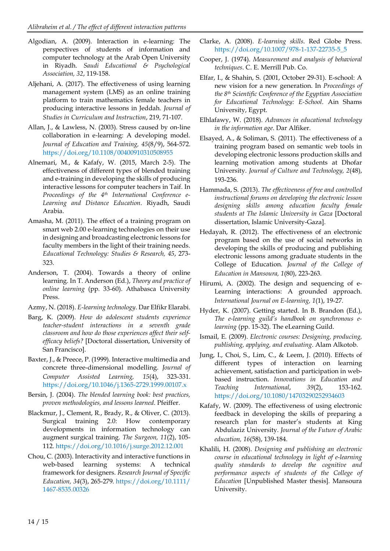- Algodian, A. (2009). Interaction in e-learning: The perspectives of students of information and computer technology at the Arab Open University in Riyadh. *Saudi Educational & Psychological Association, 32*, 119-158.
- Aljehani, A. (2017). The effectiveness of using learning management system (LMS) as an online training platform to train mathematics female teachers in producing interactive lessons in Jeddah. *Journal of Studies in Curriculum and Instruction*, 219, 71-107.
- Allan, J., & Lawless, N. (2003). Stress caused by on‐line collaboration in e‐learning: A developing model. *Journal of Education and Training, 45*(8/9), 564-572. <https://doi.org/10.1108/00400910310508955>
- Alnemari, M., & Kafafy, W. (2015, March 2-5). The effectiveness of different types of blended training and e-training in developing the skills of producing interactive lessons for computer teachers in Taif. In *Proceedings of the 4 th International Conference e-Learning and Distance Education*. Riyadh, Saudi Arabia.
- Amasha, M. (2011). The effect of a training program on smart web 2.00 e-learning technologies on their use in designing and broadcasting electronic lessons for faculty members in the light of their training needs. *Educational Technology: Studies & Research, 45*, 273- 323.
- Anderson, T. (2004). Towards a theory of online learning. In T. Anderson (Ed.), *Theory and practice of online learning* (pp. 33-60). Athabasca University Press.
- Azmy, N. (2018). *E-learning technology*. Dar Elfikr Elarabi.
- Barg, K. (2009). *How do adolescent students experience teacher-student interactions in a seventh grade classroom and how do those experiences affect their selfefficacy beliefs?* [Doctoral dissertation, University of San Francisco].
- Baxter, J., & Preece, P. (1999). Interactive multimedia and concrete three-dimensional modelling. *Journal of Computer Assisted Learning, 15*(4), 323-331. <https://doi.org/10.1046/j.1365-2729.1999.00107.x>
- Bersin, J. (2004). *The blended learning book: best practices, proven methodologies, and lessons learned*. Pfeiffer.
- Blackmur, J., Clement, R., Brady, R., & Oliver, C. (2013). Surgical training 2.0: How contemporary developments in information technology can augment surgical training. *The Surgeon, 11*(2), 105- 112. <https://doi.org/10.1016/j.surge.2012.12.001>
- Chou, C. (2003). Interactivity and interactive functions in web-based learning systems: A technical framework for designers. *Research Journal of Specific Education, 34*(3), 265-279 . [https://doi.org/10.1111/](https://doi.org/10.1111/1467-8535.00326) [1467-8535.00326](https://doi.org/10.1111/1467-8535.00326)
- Clarke, A. (2008). *E-learning skills*. Red Globe Press. [https://doi.org/10.1007/978-1-137-22735-5\\_5](https://doi.org/10.1007/978-1-137-22735-5_5)
- Cooper, J. (1974). *Measurement and analysis of behavioral techniques*. C. E. Merrill Pub. Co.
- Elfar, I., & Shahin, S. (2001, October 29-31). E-school: A new vision for a new generation. In *Proceedings of the 8 th Scientific Conference of the Egyptian Association for Educational Technology: E-School*. Ain Shams University, Egypt.
- Elhlafawy, W. (2018). *Advances in educational technology in the information age*. Dar Alfiker.
- Elsayed, A., & Soliman, S. (2011). The effectiveness of a training program based on semantic web tools in developing electronic lessons production skills and learning motivation among students at Dhofar University. *Journal of Culture and Technology, 2*(48), 193-236.
- Hammada, S. (2013). *The effectiveness of free and controlled instructional forums on developing the electronic lesson designing skills among education faculty female students at The Islamic University in Gaza* [Doctoral dissertation, Islamic University-Gaza].
- Hedayah, R. (2012). The effectiveness of an electronic program based on the use of social networks in developing the skills of producing and publishing electronic lessons among graduate students in the College of Education. *Journal of the College of Education in Mansoura, 1*(80), 223-263.
- Hirumi, A. (2002). The design and sequencing of e-Learning interactions: A grounded approach. *International Journal on E-learning, 1*(1), 19-27 .
- Hyder, K. (2007). Getting started. In B. Brandon (Ed.), *The e-learning guild's handbook on synchronous elearning* (pp. 15-32). The eLearning Guild.
- Ismail, E. (2009). *Electronic courses: Designing, producing, publishing, applying, and evaluating*. Alam Alkotob.
- Jung, I., Choi, S., Lim, C., & Leem, J. (2010). Effects of different types of interaction on learning achievement, satisfaction and participation in webbased instruction. *Innovations in Education and Teaching International*, *39*(2), 153-162. <https://doi.org/10.1080/14703290252934603>
- Kafafy, W. (2009). The effectiveness of using electronic feedback in developing the skills of preparing a research plan for master's students at King Abdulaziz University. *Journal of the Future of Arabic education, 16*(58), 139-184.
- Khalili, H. (2008). *Designing and publishing an electronic course in educational technology in light of e-learning quality standards to develop the cognitive and performance aspects of students of the College of Education* [Unpublished Master thesis]. Mansoura University.